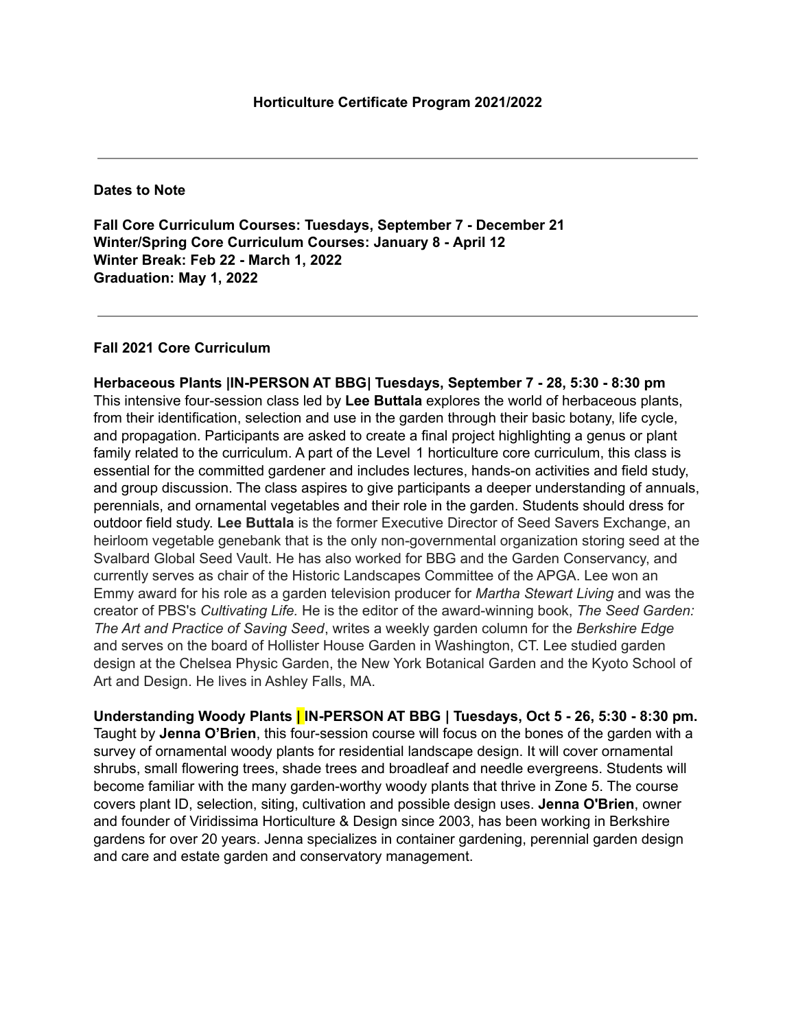**Dates to Note**

**Fall Core Curriculum Courses: Tuesdays, September 7 - December 21 Winter/Spring Core Curriculum Courses: January 8 - April 12 Winter Break: Feb 22 - March 1, 2022 Graduation: May 1, 2022**

## **Fall 2021 Core Curriculum**

**Herbaceous Plants |IN-PERSON AT BBG| Tuesdays, September 7 - 28, 5:30 - 8:30 pm** This intensive four-session class led by **Lee Buttala** explores the world of herbaceous plants, from their identification, selection and use in the garden through their basic botany, life cycle, and propagation. Participants are asked to create a final project highlighting a genus or plant family related to the curriculum. A part of the Level 1 horticulture core curriculum, this class is essential for the committed gardener and includes lectures, hands-on activities and field study, and group discussion. The class aspires to give participants a deeper understanding of annuals, perennials, and ornamental vegetables and their role in the garden. Students should dress for outdoor field study. **Lee Buttala** is the former Executive Director of Seed Savers Exchange, an heirloom vegetable genebank that is the only non-governmental organization storing seed at the Svalbard Global Seed Vault. He has also worked for BBG and the Garden Conservancy, and currently serves as chair of the Historic Landscapes Committee of the APGA. Lee won an Emmy award for his role as a garden television producer for *Martha Stewart Living* and was the creator of PBS's *Cultivating Life.* He is the editor of the award-winning book, *The Seed Garden: The Art and Practice of Saving Seed*, writes a weekly garden column for the *Berkshire Edge* and serves on the board of Hollister House Garden in Washington, CT. Lee studied garden design at the Chelsea Physic Garden, the New York Botanical Garden and the Kyoto School of Art and Design. He lives in Ashley Falls, MA.

**Understanding Woody Plants | IN-PERSON AT BBG | Tuesdays, Oct 5 - 26, 5:30 - 8:30 pm.** Taught by **Jenna O'Brien**, this four-session course will focus on the bones of the garden with a survey of ornamental woody plants for residential landscape design. It will cover ornamental shrubs, small flowering trees, shade trees and broadleaf and needle evergreens. Students will become familiar with the many garden-worthy woody plants that thrive in Zone 5. The course covers plant ID, selection, siting, cultivation and possible design uses. **Jenna O'Brien**, owner and founder of Viridissima Horticulture & Design since 2003, has been working in Berkshire gardens for over 20 years. Jenna specializes in container gardening, perennial garden design and care and estate garden and conservatory management.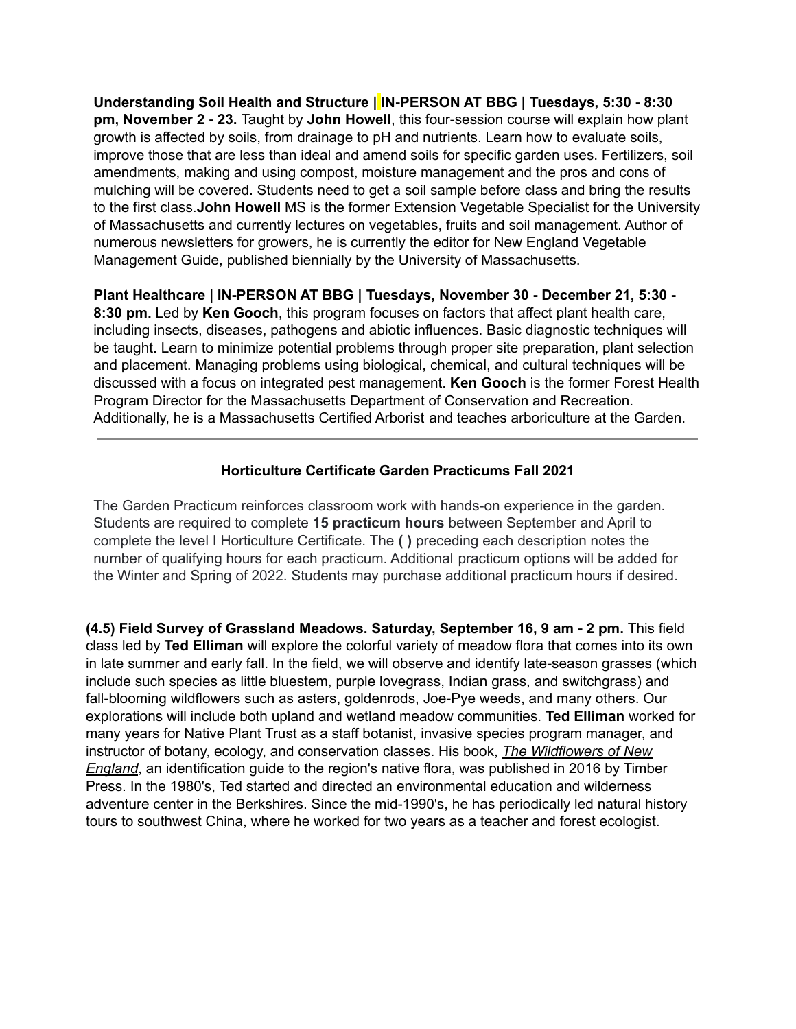**Understanding Soil Health and Structure | IN-PERSON AT BBG | Tuesdays, 5:30 - 8:30 pm, November 2 - 23.** Taught by **John Howell**, this four-session course will explain how plant growth is affected by soils, from drainage to pH and nutrients. Learn how to evaluate soils, improve those that are less than ideal and amend soils for specific garden uses. Fertilizers, soil amendments, making and using compost, moisture management and the pros and cons of mulching will be covered. Students need to get a soil sample before class and bring the results to the first class.**John Howell** MS is the former Extension Vegetable Specialist for the University of Massachusetts and currently lectures on vegetables, fruits and soil management. Author of numerous newsletters for growers, he is currently the editor for New England Vegetable Management Guide, published biennially by the University of Massachusetts.

**Plant Healthcare | IN-PERSON AT BBG | Tuesdays, November 30 - December 21, 5:30 - 8:30 pm.** Led by **Ken Gooch**, this program focuses on factors that affect plant health care, including insects, diseases, pathogens and abiotic influences. Basic diagnostic techniques will be taught. Learn to minimize potential problems through proper site preparation, plant selection and placement. Managing problems using biological, chemical, and cultural techniques will be discussed with a focus on integrated pest management. **Ken Gooch** is the former Forest Health Program Director for the Massachusetts Department of Conservation and Recreation. Additionally, he is a Massachusetts Certified Arborist and teaches arboriculture at the Garden.

## **Horticulture Certificate Garden Practicums Fall 2021**

The Garden Practicum reinforces classroom work with hands-on experience in the garden. Students are required to complete **15 practicum hours** between September and April to complete the level I Horticulture Certificate. The **( )** preceding each description notes the number of qualifying hours for each practicum. Additional practicum options will be added for the Winter and Spring of 2022. Students may purchase additional practicum hours if desired.

**(4.5) Field Survey of Grassland Meadows. Saturday, September 16, 9 am - 2 pm.** This field class led by **Ted Elliman** will explore the colorful variety of meadow flora that comes into its own in late summer and early fall. In the field, we will observe and identify late-season grasses (which include such species as little bluestem, purple lovegrass, Indian grass, and switchgrass) and fall-blooming wildflowers such as asters, goldenrods, Joe-Pye weeds, and many others. Our explorations will include both upland and wetland meadow communities. **Ted Elliman** worked for many years for Native Plant Trust as a staff botanist, invasive species program manager, and instructor of botany, ecology, and conservation classes. His book, *The Wildflowers of New England*, an identification guide to the region's native flora, was published in 2016 by Timber Press. In the 1980's, Ted started and directed an environmental education and wilderness adventure center in the Berkshires. Since the mid-1990's, he has periodically led natural history tours to southwest China, where he worked for two years as a teacher and forest ecologist.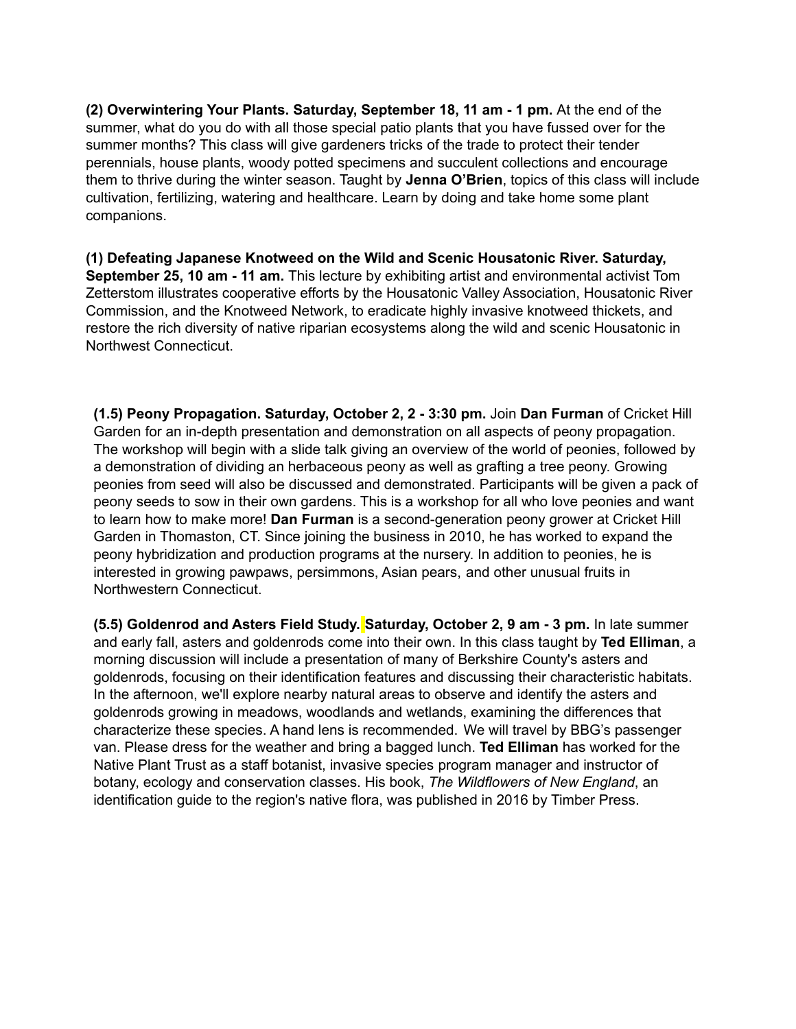**(2) Overwintering Your Plants. Saturday, September 18, 11 am - 1 pm.** At the end of the summer, what do you do with all those special patio plants that you have fussed over for the summer months? This class will give gardeners tricks of the trade to protect their tender perennials, house plants, woody potted specimens and succulent collections and encourage them to thrive during the winter season. Taught by **Jenna O'Brien**, topics of this class will include cultivation, fertilizing, watering and healthcare. Learn by doing and take home some plant companions.

**(1) Defeating Japanese Knotweed on the Wild and Scenic Housatonic River. Saturday, September 25, 10 am - 11 am.** This lecture by exhibiting artist and environmental activist Tom Zetterstom illustrates cooperative efforts by the Housatonic Valley Association, Housatonic River Commission, and the Knotweed Network, to eradicate highly invasive knotweed thickets, and restore the rich diversity of native riparian ecosystems along the wild and scenic Housatonic in Northwest Connecticut.

**(1.5) Peony Propagation. Saturday, October 2, 2 - 3:30 pm.** Join **Dan Furman** of Cricket Hill Garden for an in-depth presentation and demonstration on all aspects of peony propagation. The workshop will begin with a slide talk giving an overview of the world of peonies, followed by a demonstration of dividing an herbaceous peony as well as grafting a tree peony. Growing peonies from seed will also be discussed and demonstrated. Participants will be given a pack of peony seeds to sow in their own gardens. This is a workshop for all who love peonies and want to learn how to make more! **Dan Furman** is a second-generation peony grower at Cricket Hill Garden in Thomaston, CT. Since joining the business in 2010, he has worked to expand the peony hybridization and production programs at the nursery. In addition to peonies, he is interested in growing pawpaws, persimmons, Asian pears, and other unusual fruits in Northwestern Connecticut.

**(5.5) Goldenrod and Asters Field Study. Saturday, October 2, 9 am - 3 pm.** In late summer and early fall, asters and goldenrods come into their own. In this class taught by **Ted Elliman**, a morning discussion will include a presentation of many of Berkshire County's asters and goldenrods, focusing on their identification features and discussing their characteristic habitats. In the afternoon, we'll explore nearby natural areas to observe and identify the asters and goldenrods growing in meadows, woodlands and wetlands, examining the differences that characterize these species. A hand lens is recommended. We will travel by BBG's passenger van. Please dress for the weather and bring a bagged lunch. **Ted Elliman** has worked for the Native Plant Trust as a staff botanist, invasive species program manager and instructor of botany, ecology and conservation classes. His book, *The Wildflowers of New England*, an identification guide to the region's native flora, was published in 2016 by Timber Press.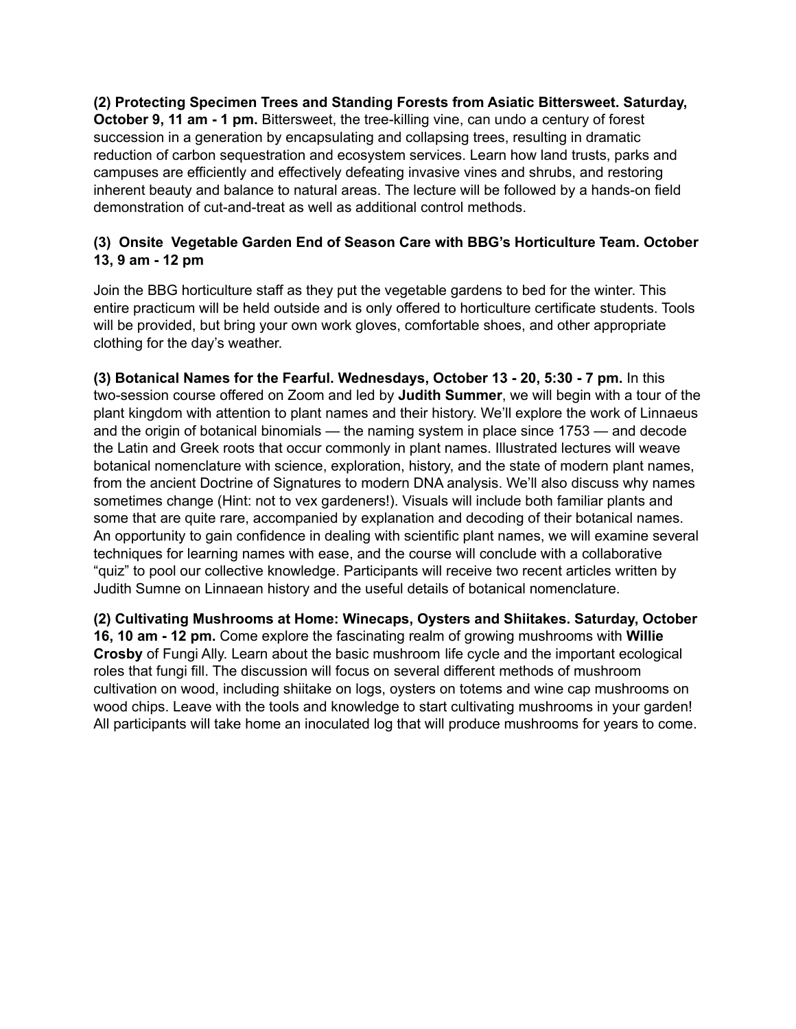**(2) Protecting Specimen Trees and Standing Forests from Asiatic Bittersweet. Saturday, October 9, 11 am - 1 pm.** Bittersweet, the tree-killing vine, can undo a century of forest succession in a generation by encapsulating and collapsing trees, resulting in dramatic reduction of carbon sequestration and ecosystem services. Learn how land trusts, parks and campuses are efficiently and effectively defeating invasive vines and shrubs, and restoring inherent beauty and balance to natural areas. The lecture will be followed by a hands-on field demonstration of cut-and-treat as well as additional control methods.

## **(3) Onsite Vegetable Garden End of Season Care with BBG's Horticulture Team. October 13, 9 am - 12 pm**

Join the BBG horticulture staff as they put the vegetable gardens to bed for the winter. This entire practicum will be held outside and is only offered to horticulture certificate students. Tools will be provided, but bring your own work gloves, comfortable shoes, and other appropriate clothing for the day's weather.

**(3) Botanical Names for the Fearful. Wednesdays, October 13 - 20, 5:30 - 7 pm.** In this two-session course offered on Zoom and led by **Judith Summer**, we will begin with a tour of the plant kingdom with attention to plant names and their history. We'll explore the work of Linnaeus and the origin of botanical binomials — the naming system in place since 1753 — and decode the Latin and Greek roots that occur commonly in plant names. Illustrated lectures will weave botanical nomenclature with science, exploration, history, and the state of modern plant names, from the ancient Doctrine of Signatures to modern DNA analysis. We'll also discuss why names sometimes change (Hint: not to vex gardeners!). Visuals will include both familiar plants and some that are quite rare, accompanied by explanation and decoding of their botanical names. An opportunity to gain confidence in dealing with scientific plant names, we will examine several techniques for learning names with ease, and the course will conclude with a collaborative "quiz" to pool our collective knowledge. Participants will receive two recent articles written by Judith Sumne on Linnaean history and the useful details of botanical nomenclature.

**(2) Cultivating Mushrooms at Home: Winecaps, Oysters and Shiitakes. Saturday, October 16, 10 am - 12 pm.** Come explore the fascinating realm of growing mushrooms with **Willie Crosby** of Fungi Ally. Learn about the basic mushroom life cycle and the important ecological roles that fungi fill. The discussion will focus on several different methods of mushroom cultivation on wood, including shiitake on logs, oysters on totems and wine cap mushrooms on wood chips. Leave with the tools and knowledge to start cultivating mushrooms in your garden! All participants will take home an inoculated log that will produce mushrooms for years to come.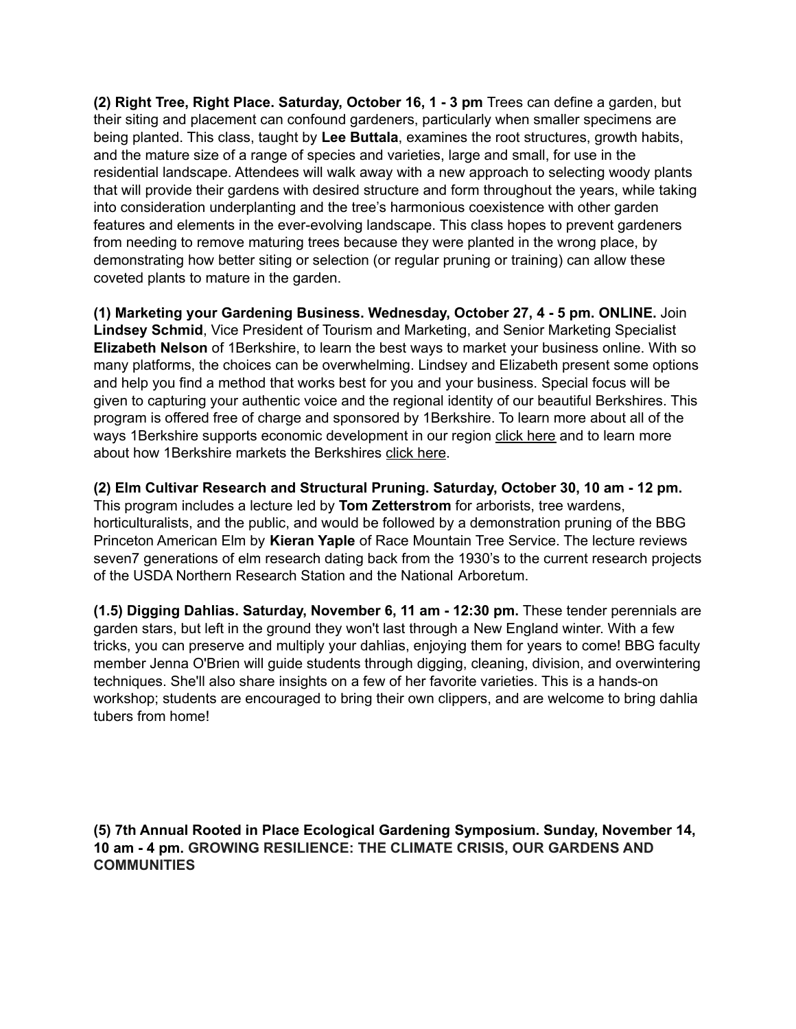**(2) Right Tree, Right Place. Saturday, October 16, 1 - 3 pm** Trees can define a garden, but their siting and placement can confound gardeners, particularly when smaller specimens are being planted. This class, taught by **Lee Buttala**, examines the root structures, growth habits, and the mature size of a range of species and varieties, large and small, for use in the residential landscape. Attendees will walk away with a new approach to selecting woody plants that will provide their gardens with desired structure and form throughout the years, while taking into consideration underplanting and the tree's harmonious coexistence with other garden features and elements in the ever-evolving landscape. This class hopes to prevent gardeners from needing to remove maturing trees because they were planted in the wrong place, by demonstrating how better siting or selection (or regular pruning or training) can allow these coveted plants to mature in the garden.

**(1) Marketing your Gardening Business. Wednesday, October 27, 4 - 5 pm. ONLINE.** Join **Lindsey Schmid**, Vice President of Tourism and Marketing, and Senior Marketing Specialist **Elizabeth Nelson** of 1Berkshire, to learn the best ways to market your business online. With so many platforms, the choices can be overwhelming. Lindsey and Elizabeth present some options and help you find a method that works best for you and your business. Special focus will be given to capturing your authentic voice and the regional identity of our beautiful Berkshires. This program is offered free of charge and sponsored by 1Berkshire. To learn more about all of the ways 1Berkshire supports economic development in our region click [here](https://1berkshire.com/) and to learn more about how 1Berkshire markets the Berkshires click [here](http://berkshires.org/).

**(2) Elm Cultivar Research and Structural Pruning. Saturday, October 30, 10 am - 12 pm.** This program includes a lecture led by **Tom Zetterstrom** for arborists, tree wardens, horticulturalists, and the public, and would be followed by a demonstration pruning of the BBG Princeton American Elm by **Kieran Yaple** of Race Mountain Tree Service. The lecture reviews seven7 generations of elm research dating back from the 1930's to the current research projects of the USDA Northern Research Station and the National Arboretum.

**(1.5) Digging Dahlias. Saturday, November 6, 11 am - 12:30 pm.** These tender perennials are garden stars, but left in the ground they won't last through a New England winter. With a few tricks, you can preserve and multiply your dahlias, enjoying them for years to come! BBG faculty member Jenna O'Brien will guide students through digging, cleaning, division, and overwintering techniques. She'll also share insights on a few of her favorite varieties. This is a hands-on workshop; students are encouraged to bring their own clippers, and are welcome to bring dahlia tubers from home!

**(5) 7th Annual Rooted in Place Ecological Gardening Symposium. Sunday, November 14, 10 am - 4 pm. GROWING RESILIENCE: THE CLIMATE CRISIS, OUR GARDENS AND COMMUNITIES**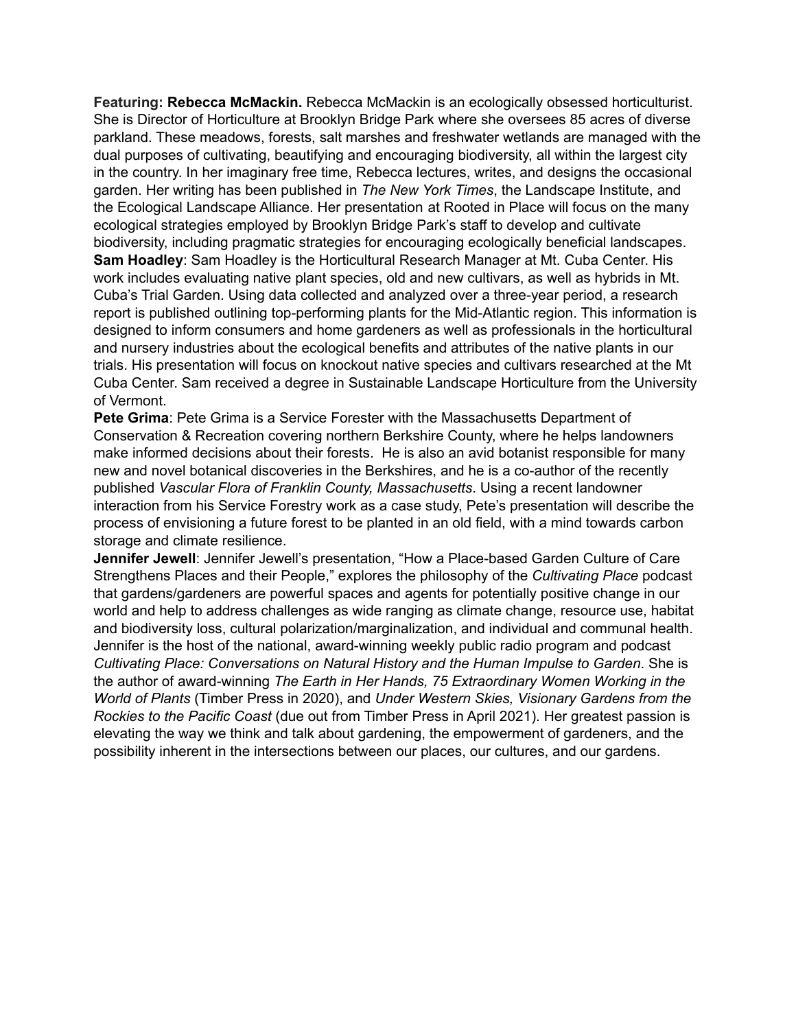**Featuring: Rebecca McMackin.** Rebecca McMackin is an ecologically obsessed horticulturist. She is Director of Horticulture at Brooklyn Bridge Park where she oversees 85 acres of diverse parkland. These meadows, forests, salt marshes and freshwater wetlands are managed with the dual purposes of cultivating, beautifying and encouraging biodiversity, all within the largest city in the country. In her imaginary free time, Rebecca lectures, writes, and designs the occasional garden. Her writing has been published in *The New York Times*, the Landscape Institute, and the Ecological Landscape Alliance. Her presentation at Rooted in Place will focus on the many ecological strategies employed by Brooklyn Bridge Park's staff to develop and cultivate biodiversity, including pragmatic strategies for encouraging ecologically beneficial landscapes. **Sam Hoadley**: Sam Hoadley is the Horticultural Research Manager at Mt. Cuba Center. His work includes evaluating native plant species, old and new cultivars, as well as hybrids in Mt. Cuba's Trial Garden. Using data collected and analyzed over a three-year period, a research report is published outlining top-performing plants for the Mid-Atlantic region. This information is designed to inform consumers and home gardeners as well as professionals in the horticultural and nursery industries about the ecological benefits and attributes of the native plants in our trials. His presentation will focus on knockout native species and cultivars researched at the Mt Cuba Center. Sam received a degree in Sustainable Landscape Horticulture from the University of Vermont.

**Pete Grima**: Pete Grima is a Service Forester with the Massachusetts Department of Conservation & Recreation covering northern Berkshire County, where he helps landowners make informed decisions about their forests. He is also an avid botanist responsible for many new and novel botanical discoveries in the Berkshires, and he is a co-author of the recently published *Vascular Flora of Franklin County, [Massachusetts](http://www.rhodora.org/specialpublications/publications.html)*. Using a recent landowner interaction from his Service Forestry work as a case study, Pete's presentation will describe the process of envisioning a future forest to be planted in an old field, with a mind towards carbon storage and climate resilience.

**Jennifer Jewell**: Jennifer Jewell's presentation, "How a Place-based Garden Culture of Care Strengthens Places and their People," explores the philosophy of the *Cultivating Place* podcast that gardens/gardeners are powerful spaces and agents for potentially positive change in our world and help to address challenges as wide ranging as climate change, resource use, habitat and biodiversity loss, cultural polarization/marginalization, and individual and communal health. Jennifer is the host of the national, award-winning weekly public radio program and podcast *Cultivating Place: Conversations on Natural History and the Human Impulse to Garden*. She is the author of award-winning *The Earth in Her Hands, 75 Extraordinary Women Working in the World of Plants* (Timber Press in 2020), and *Under Western Skies, Visionary Gardens from the Rockies to the Pacific Coast* (due out from Timber Press in April 2021). Her greatest passion is elevating the way we think and talk about gardening, the empowerment of gardeners, and the possibility inherent in the intersections between our places, our cultures, and our gardens.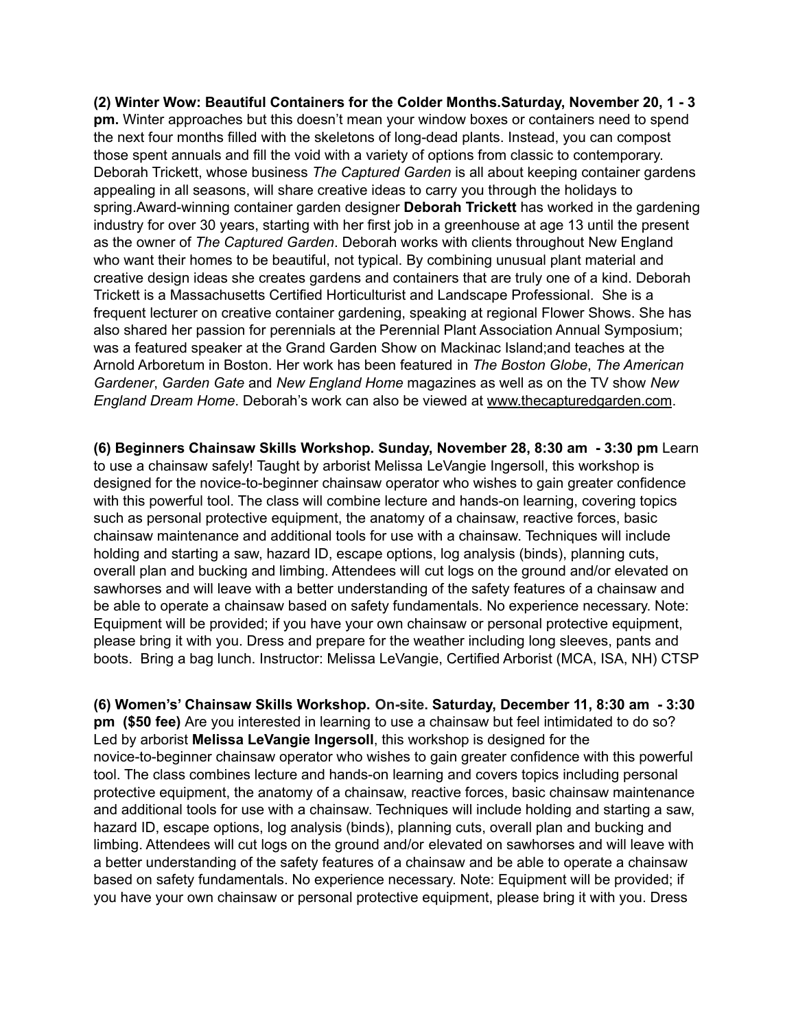**(2) Winter Wow: Beautiful Containers for the Colder Months.Saturday, November 20, 1 - 3 pm.** Winter approaches but this doesn't mean your window boxes or containers need to spend the next four months filled with the skeletons of long-dead plants. Instead, you can compost those spent annuals and fill the void with a variety of options from classic to contemporary. Deborah Trickett, whose business *The Captured Garden* is all about keeping container gardens appealing in all seasons, will share creative ideas to carry you through the holidays to spring.Award-winning container garden designer **Deborah Trickett** has worked in the gardening industry for over 30 years, starting with her first job in a greenhouse at age 13 until the present as the owner of *The Captured Garden*. Deborah works with clients throughout New England who want their homes to be beautiful, not typical. By combining unusual plant material and creative design ideas she creates gardens and containers that are truly one of a kind. Deborah Trickett is a Massachusetts Certified Horticulturist and Landscape Professional. She is a frequent lecturer on creative container gardening, speaking at regional Flower Shows. She has also shared her passion for perennials at the Perennial Plant Association Annual Symposium; was a featured speaker at the Grand Garden Show on Mackinac Island;and teaches at the Arnold Arboretum in Boston. Her work has been featured in *The Boston Globe*, *The American Gardener*, *Garden Gate* and *New England Home* magazines as well as on the TV show *New England Dream Home*. Deborah's work can also be viewed at [www.thecapturedgarden.com](http://www.thecapturedgarden.com).

**(6) Beginners Chainsaw Skills Workshop. Sunday, November 28, 8:30 am - 3:30 pm** Learn to use a chainsaw safely! Taught by arborist Melissa LeVangie Ingersoll, this workshop is designed for the novice-to-beginner chainsaw operator who wishes to gain greater confidence with this powerful tool. The class will combine lecture and hands-on learning, covering topics such as personal protective equipment, the anatomy of a chainsaw, reactive forces, basic chainsaw maintenance and additional tools for use with a chainsaw. Techniques will include holding and starting a saw, hazard ID, escape options, log analysis (binds), planning cuts, overall plan and bucking and limbing. Attendees will cut logs on the ground and/or elevated on sawhorses and will leave with a better understanding of the safety features of a chainsaw and be able to operate a chainsaw based on safety fundamentals. No experience necessary. Note: Equipment will be provided; if you have your own chainsaw or personal protective equipment, please bring it with you. Dress and prepare for the weather including long sleeves, pants and boots. Bring a bag lunch. Instructor: Melissa LeVangie, Certified Arborist (MCA, ISA, NH) CTSP

**(6) Women's' Chainsaw Skills Workshop. On-site. Saturday, December 11, 8:30 am - 3:30 pm (\$50 fee)** Are you interested in learning to use a chainsaw but feel intimidated to do so? Led by arborist **Melissa LeVangie Ingersoll**, this workshop is designed for the novice-to-beginner chainsaw operator who wishes to gain greater confidence with this powerful tool. The class combines lecture and hands-on learning and covers topics including personal protective equipment, the anatomy of a chainsaw, reactive forces, basic chainsaw maintenance and additional tools for use with a chainsaw. Techniques will include holding and starting a saw, hazard ID, escape options, log analysis (binds), planning cuts, overall plan and bucking and limbing. Attendees will cut logs on the ground and/or elevated on sawhorses and will leave with a better understanding of the safety features of a chainsaw and be able to operate a chainsaw based on safety fundamentals. No experience necessary. Note: Equipment will be provided; if you have your own chainsaw or personal protective equipment, please bring it with you. Dress